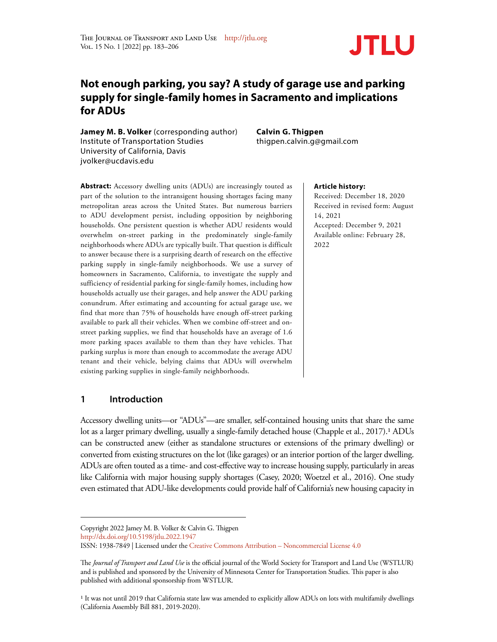

# **Not enough parking, you say? A study of garage use and parking supply for single-family homes in Sacramento and implications for ADUs**

**Jamey M. B. Volker** (corresponding author) Institute of Transportation Studies University of California, Davis jvolker@ucdavis.edu

**Calvin G. Thigpen** thigpen.calvin.g@gmail.com

**Abstract:** Accessory dwelling units (ADUs) are increasingly touted as part of the solution to the intransigent housing shortages facing many metropolitan areas across the United States. But numerous barriers to ADU development persist, including opposition by neighboring households. One persistent question is whether ADU residents would overwhelm on-street parking in the predominately single-family neighborhoods where ADUs are typically built. That question is difficult to answer because there is a surprising dearth of research on the effective parking supply in single-family neighborhoods. We use a survey of homeowners in Sacramento, California, to investigate the supply and sufficiency of residential parking for single-family homes, including how households actually use their garages, and help answer the ADU parking conundrum. After estimating and accounting for actual garage use, we find that more than 75% of households have enough off-street parking available to park all their vehicles. When we combine off-street and onstreet parking supplies, we find that households have an average of 1.6 more parking spaces available to them than they have vehicles. That parking surplus is more than enough to accommodate the average ADU tenant and their vehicle, belying claims that ADUs will overwhelm existing parking supplies in single-family neighborhoods.

# **Article history:**

Received: December 18, 2020 Received in revised form: August 14, 2021 Accepted: December 9, 2021 Available online: February 28, 2022

# **1 Introduction**

Accessory dwelling units—or "ADUs"—are smaller, self-contained housing units that share the same lot as a larger primary dwelling, usually a single-family detached house (Chapple et al., 2017).1 ADUs can be constructed anew (either as standalone structures or extensions of the primary dwelling) or converted from existing structures on the lot (like garages) or an interior portion of the larger dwelling. ADUs are often touted as a time- and cost-effective way to increase housing supply, particularly in areas like California with major housing supply shortages (Casey, 2020; Woetzel et al., 2016). One study even estimated that ADU-like developments could provide half of California's new housing capacity in

http://dx.doi.org/10.5198/jtlu.2022.1947

<sup>1</sup> It was not until 2019 that California state law was amended to explicitly allow ADUs on lots with multifamily dwellings (California Assembly Bill 881, 2019-2020).

Copyright 2022 Jamey M. B. Volker & Calvin G. Thigpen

ISSN: 1938-7849 | Licensed under the Creative Commons Attribution – Noncommercial License 4.0

The *Journal of Transport and Land Use* is the official journal of the World Society for Transport and Land Use (WSTLUR) and is published and sponsored by the University of Minnesota Center for Transportation Studies. This paper is also published with additional sponsorship from WSTLUR.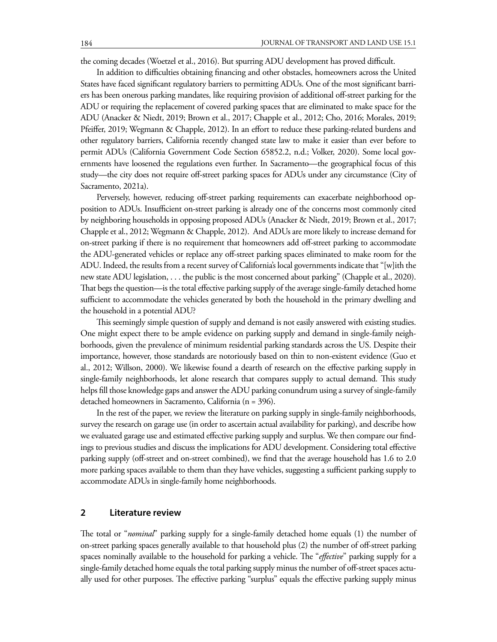the coming decades (Woetzel et al., 2016). But spurring ADU development has proved difficult.

In addition to difficulties obtaining financing and other obstacles, homeowners across the United States have faced significant regulatory barriers to permitting ADUs. One of the most significant barriers has been onerous parking mandates, like requiring provision of additional off-street parking for the ADU or requiring the replacement of covered parking spaces that are eliminated to make space for the ADU (Anacker & Niedt, 2019; Brown et al., 2017; Chapple et al., 2012; Cho, 2016; Morales, 2019; Pfeiffer, 2019; Wegmann & Chapple, 2012). In an effort to reduce these parking-related burdens and other regulatory barriers, California recently changed state law to make it easier than ever before to permit ADUs (California Government Code Section 65852.2, n.d.; Volker, 2020). Some local governments have loosened the regulations even further. In Sacramento—the geographical focus of this study—the city does not require off-street parking spaces for ADUs under any circumstance (City of Sacramento, 2021a).

Perversely, however, reducing off-street parking requirements can exacerbate neighborhood opposition to ADUs. Insufficient on-street parking is already one of the concerns most commonly cited by neighboring households in opposing proposed ADUs (Anacker & Niedt, 2019; Brown et al., 2017; Chapple et al., 2012; Wegmann & Chapple, 2012). And ADUs are more likely to increase demand for on-street parking if there is no requirement that homeowners add off-street parking to accommodate the ADU-generated vehicles or replace any off-street parking spaces eliminated to make room for the ADU. Indeed, the results from a recent survey of California's local governments indicate that "[w]ith the new state ADU legislation, . . . the public is the most concerned about parking" (Chapple et al., 2020). That begs the question—is the total effective parking supply of the average single-family detached home sufficient to accommodate the vehicles generated by both the household in the primary dwelling and the household in a potential ADU?

This seemingly simple question of supply and demand is not easily answered with existing studies. One might expect there to be ample evidence on parking supply and demand in single-family neighborhoods, given the prevalence of minimum residential parking standards across the US. Despite their importance, however, those standards are notoriously based on thin to non-existent evidence (Guo et al., 2012; Willson, 2000). We likewise found a dearth of research on the effective parking supply in single-family neighborhoods, let alone research that compares supply to actual demand. This study helps fill those knowledge gaps and answer the ADU parking conundrum using a survey of single-family detached homeowners in Sacramento, California (n = 396).

In the rest of the paper, we review the literature on parking supply in single-family neighborhoods, survey the research on garage use (in order to ascertain actual availability for parking), and describe how we evaluated garage use and estimated effective parking supply and surplus. We then compare our findings to previous studies and discuss the implications for ADU development. Considering total effective parking supply (off-street and on-street combined), we find that the average household has 1.6 to 2.0 more parking spaces available to them than they have vehicles, suggesting a sufficient parking supply to accommodate ADUs in single-family home neighborhoods.

# **2 Literature review**

The total or "*nominal*" parking supply for a single-family detached home equals (1) the number of on-street parking spaces generally available to that household plus (2) the number of off-street parking spaces nominally available to the household for parking a vehicle. The "*effective*" parking supply for a single-family detached home equals the total parking supply minus the number of off-street spaces actually used for other purposes. The effective parking "surplus" equals the effective parking supply minus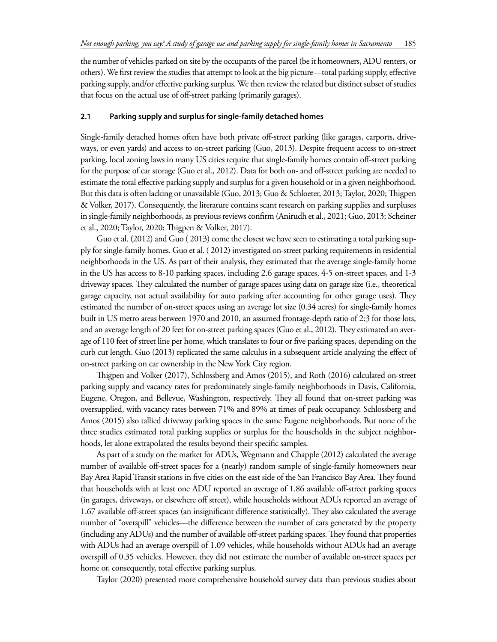the number of vehicles parked on site by the occupants of the parcel (be it homeowners, ADU renters, or others). We first review the studies that attempt to look at the big picture—total parking supply, effective parking supply, and/or effective parking surplus. We then review the related but distinct subset of studies that focus on the actual use of off-street parking (primarily garages).

#### **2.1 Parking supply and surplus for single-family detached homes**

Single-family detached homes often have both private off-street parking (like garages, carports, driveways, or even yards) and access to on-street parking (Guo, 2013). Despite frequent access to on-street parking, local zoning laws in many US cities require that single-family homes contain off-street parking for the purpose of car storage (Guo et al., 2012). Data for both on- and off-street parking are needed to estimate the total effective parking supply and surplus for a given household or in a given neighborhood. But this data is often lacking or unavailable (Guo, 2013; Guo & Schloeter, 2013; Taylor, 2020; Thigpen & Volker, 2017). Consequently, the literature contains scant research on parking supplies and surpluses in single-family neighborhoods, as previous reviews confirm (Anirudh et al., 2021; Guo, 2013; Scheiner et al., 2020; Taylor, 2020; Thigpen & Volker, 2017).

Guo et al. (2012) and Guo ( 2013) come the closest we have seen to estimating a total parking supply for single-family homes. Guo et al. ( 2012) investigated on-street parking requirements in residential neighborhoods in the US. As part of their analysis, they estimated that the average single-family home in the US has access to 8-10 parking spaces, including 2.6 garage spaces, 4-5 on-street spaces, and 1-3 driveway spaces. They calculated the number of garage spaces using data on garage size (i.e., theoretical garage capacity, not actual availability for auto parking after accounting for other garage uses). They estimated the number of on-street spaces using an average lot size (0.34 acres) for single-family homes built in US metro areas between 1970 and 2010, an assumed frontage-depth ratio of 2:3 for those lots, and an average length of 20 feet for on-street parking spaces (Guo et al., 2012). They estimated an average of 110 feet of street line per home, which translates to four or five parking spaces, depending on the curb cut length. Guo (2013) replicated the same calculus in a subsequent article analyzing the effect of on-street parking on car ownership in the New York City region.

Thigpen and Volker (2017), Schlossberg and Amos (2015), and Roth (2016) calculated on-street parking supply and vacancy rates for predominately single-family neighborhoods in Davis, California, Eugene, Oregon, and Bellevue, Washington, respectively. They all found that on-street parking was oversupplied, with vacancy rates between 71% and 89% at times of peak occupancy. Schlossberg and Amos (2015) also tallied driveway parking spaces in the same Eugene neighborhoods. But none of the three studies estimated total parking supplies or surplus for the households in the subject neighborhoods, let alone extrapolated the results beyond their specific samples.

As part of a study on the market for ADUs, Wegmann and Chapple (2012) calculated the average number of available off-street spaces for a (nearly) random sample of single-family homeowners near Bay Area Rapid Transit stations in five cities on the east side of the San Francisco Bay Area. They found that households with at least one ADU reported an average of 1.86 available off-street parking spaces (in garages, driveways, or elsewhere off street), while households without ADUs reported an average of 1.67 available off-street spaces (an insignificant difference statistically). They also calculated the average number of "overspill" vehicles—the difference between the number of cars generated by the property (including any ADUs) and the number of available off-street parking spaces. They found that properties with ADUs had an average overspill of 1.09 vehicles, while households without ADUs had an average overspill of 0.35 vehicles. However, they did not estimate the number of available on-street spaces per home or, consequently, total effective parking surplus.

Taylor (2020) presented more comprehensive household survey data than previous studies about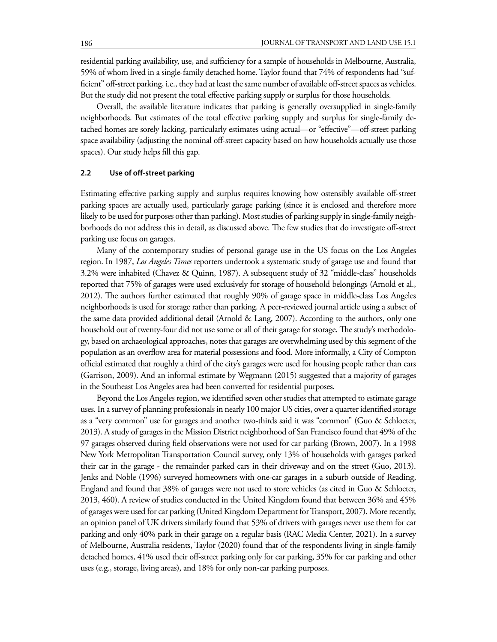residential parking availability, use, and sufficiency for a sample of households in Melbourne, Australia, 59% of whom lived in a single-family detached home. Taylor found that 74% of respondents had "sufficient" off-street parking, i.e., they had at least the same number of available off-street spaces as vehicles. But the study did not present the total effective parking supply or surplus for those households.

Overall, the available literature indicates that parking is generally oversupplied in single-family neighborhoods. But estimates of the total effective parking supply and surplus for single-family detached homes are sorely lacking, particularly estimates using actual—or "effective"—off-street parking space availability (adjusting the nominal off-street capacity based on how households actually use those spaces). Our study helps fill this gap.

#### **2.2 Use of off-street parking**

Estimating effective parking supply and surplus requires knowing how ostensibly available off-street parking spaces are actually used, particularly garage parking (since it is enclosed and therefore more likely to be used for purposes other than parking). Most studies of parking supply in single-family neighborhoods do not address this in detail, as discussed above. The few studies that do investigate off-street parking use focus on garages.

Many of the contemporary studies of personal garage use in the US focus on the Los Angeles region. In 1987, *Los Angeles Times* reporters undertook a systematic study of garage use and found that 3.2% were inhabited (Chavez & Quinn, 1987). A subsequent study of 32 "middle-class" households reported that 75% of garages were used exclusively for storage of household belongings (Arnold et al., 2012). The authors further estimated that roughly 90% of garage space in middle-class Los Angeles neighborhoods is used for storage rather than parking. A peer-reviewed journal article using a subset of the same data provided additional detail (Arnold & Lang, 2007). According to the authors, only one household out of twenty-four did not use some or all of their garage for storage. The study's methodology, based on archaeological approaches, notes that garages are overwhelming used by this segment of the population as an overflow area for material possessions and food. More informally, a City of Compton official estimated that roughly a third of the city's garages were used for housing people rather than cars (Garrison, 2009). And an informal estimate by Wegmann (2015) suggested that a majority of garages in the Southeast Los Angeles area had been converted for residential purposes.

Beyond the Los Angeles region, we identified seven other studies that attempted to estimate garage uses. In a survey of planning professionals in nearly 100 major US cities, over a quarter identified storage as a "very common" use for garages and another two-thirds said it was "common" (Guo & Schloeter, 2013). A study of garages in the Mission District neighborhood of San Francisco found that 49% of the 97 garages observed during field observations were not used for car parking (Brown, 2007). In a 1998 New York Metropolitan Transportation Council survey, only 13% of households with garages parked their car in the garage - the remainder parked cars in their driveway and on the street (Guo, 2013). Jenks and Noble (1996) surveyed homeowners with one-car garages in a suburb outside of Reading, England and found that 38% of garages were not used to store vehicles (as cited in Guo & Schloeter, 2013, 460). A review of studies conducted in the United Kingdom found that between 36% and 45% of garages were used for car parking (United Kingdom Department for Transport, 2007). More recently, an opinion panel of UK drivers similarly found that 53% of drivers with garages never use them for car parking and only 40% park in their garage on a regular basis (RAC Media Center, 2021). In a survey of Melbourne, Australia residents, Taylor (2020) found that of the respondents living in single-family detached homes, 41% used their off-street parking only for car parking, 35% for car parking and other uses (e.g., storage, living areas), and 18% for only non-car parking purposes.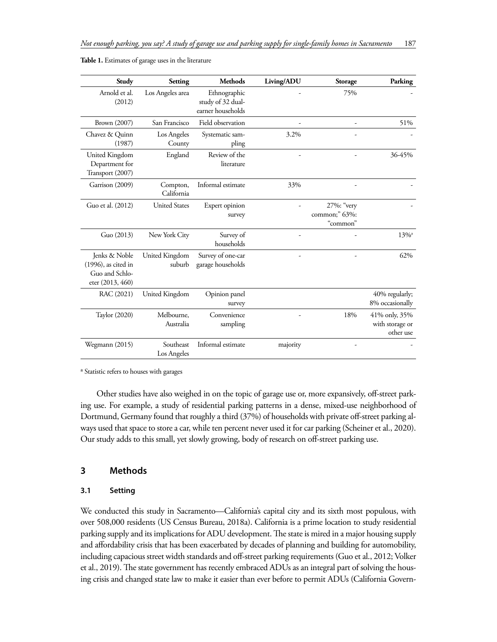| Study                                                                      | Setting                  | <b>Methods</b>                                         | Living/ADU | Storage                                 | Parking                                       |
|----------------------------------------------------------------------------|--------------------------|--------------------------------------------------------|------------|-----------------------------------------|-----------------------------------------------|
| Arnold et al.<br>(2012)                                                    | Los Angeles area         | Ethnographic<br>study of 32 dual-<br>earner households |            | 75%                                     |                                               |
| Brown (2007)                                                               | San Francisco            | Field observation                                      |            | ٠                                       | 51%                                           |
| Chavez & Quinn<br>(1987)                                                   | Los Angeles<br>County    | Systematic sam-<br>pling                               | 3.2%       |                                         |                                               |
| United Kingdom<br>Department for<br>Transport (2007)                       | England                  | Review of the<br>literature                            |            |                                         | 36-45%                                        |
| Garrison (2009)                                                            | Compton,<br>California   | Informal estimate                                      | 33%        |                                         |                                               |
| Guo et al. (2012)                                                          | <b>United States</b>     | Expert opinion<br>survey                               |            | 27%: "very<br>common;" 63%:<br>"common" |                                               |
| Guo (2013)                                                                 | New York City            | Survey of<br>households                                |            |                                         | $13\%$ <sup>a</sup>                           |
| Jenks & Noble<br>(1996), as cited in<br>Guo and Schlo-<br>eter (2013, 460) | United Kingdom<br>suburb | Survey of one-car<br>garage households                 |            |                                         | 62%                                           |
| RAC (2021)                                                                 | United Kingdom           | Opinion panel<br>survey                                |            |                                         | 40% regularly;<br>8% occasionally             |
| Taylor (2020)                                                              | Melbourne,<br>Australia  | Convenience<br>sampling                                |            | 18%                                     | 41% only, 35%<br>with storage or<br>other use |
| Wegmann (2015)                                                             | Southeast<br>Los Angeles | Informal estimate                                      | majority   |                                         |                                               |

**Table 1.** Estimates of garage uses in the literature

a Statistic refers to houses with garages

Other studies have also weighed in on the topic of garage use or, more expansively, off-street parking use. For example, a study of residential parking patterns in a dense, mixed-use neighborhood of Dortmund, Germany found that roughly a third (37%) of households with private off-street parking always used that space to store a car, while ten percent never used it for car parking (Scheiner et al., 2020). Our study adds to this small, yet slowly growing, body of research on off-street parking use.

# **3 Methods**

# **3.1 Setting**

We conducted this study in Sacramento—California's capital city and its sixth most populous, with over 508,000 residents (US Census Bureau, 2018a). California is a prime location to study residential parking supply and its implications for ADU development. The state is mired in a major housing supply and affordability crisis that has been exacerbated by decades of planning and building for automobility, including capacious street width standards and off-street parking requirements (Guo et al., 2012; Volker et al., 2019). The state government has recently embraced ADUs as an integral part of solving the housing crisis and changed state law to make it easier than ever before to permit ADUs (California Govern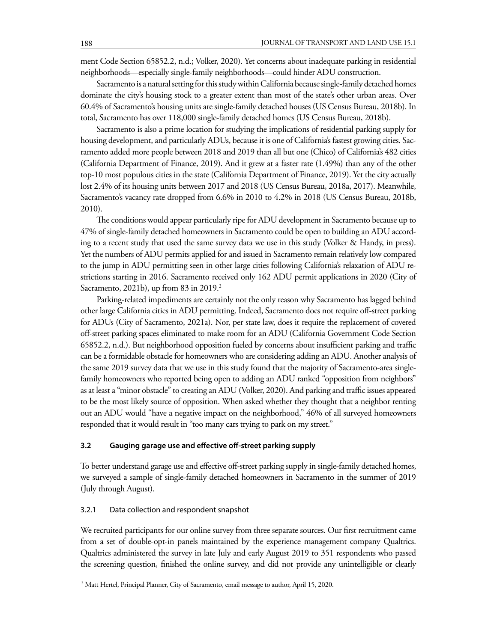ment Code Section 65852.2, n.d.; Volker, 2020). Yet concerns about inadequate parking in residential neighborhoods—especially single-family neighborhoods—could hinder ADU construction.

Sacramento is a natural setting for this study within California because single-family detached homes dominate the city's housing stock to a greater extent than most of the state's other urban areas. Over 60.4% of Sacramento's housing units are single-family detached houses (US Census Bureau, 2018b). In total, Sacramento has over 118,000 single-family detached homes (US Census Bureau, 2018b).

Sacramento is also a prime location for studying the implications of residential parking supply for housing development, and particularly ADUs, because it is one of California's fastest growing cities. Sacramento added more people between 2018 and 2019 than all but one (Chico) of California's 482 cities (California Department of Finance, 2019). And it grew at a faster rate (1.49%) than any of the other top-10 most populous cities in the state (California Department of Finance, 2019). Yet the city actually lost 2.4% of its housing units between 2017 and 2018 (US Census Bureau, 2018a, 2017). Meanwhile, Sacramento's vacancy rate dropped from 6.6% in 2010 to 4.2% in 2018 (US Census Bureau, 2018b, 2010).

The conditions would appear particularly ripe for ADU development in Sacramento because up to 47% of single-family detached homeowners in Sacramento could be open to building an ADU according to a recent study that used the same survey data we use in this study (Volker & Handy, in press). Yet the numbers of ADU permits applied for and issued in Sacramento remain relatively low compared to the jump in ADU permitting seen in other large cities following California's relaxation of ADU restrictions starting in 2016. Sacramento received only 162 ADU permit applications in 2020 (City of Sacramento, 2021b), up from 83 in 2019.<sup>2</sup>

Parking-related impediments are certainly not the only reason why Sacramento has lagged behind other large California cities in ADU permitting. Indeed, Sacramento does not require off-street parking for ADUs (City of Sacramento, 2021a). Nor, per state law, does it require the replacement of covered off-street parking spaces eliminated to make room for an ADU (California Government Code Section 65852.2, n.d.). But neighborhood opposition fueled by concerns about insufficient parking and traffic can be a formidable obstacle for homeowners who are considering adding an ADU. Another analysis of the same 2019 survey data that we use in this study found that the majority of Sacramento-area singlefamily homeowners who reported being open to adding an ADU ranked "opposition from neighbors" as at least a "minor obstacle" to creating an ADU (Volker, 2020). And parking and traffic issues appeared to be the most likely source of opposition. When asked whether they thought that a neighbor renting out an ADU would "have a negative impact on the neighborhood," 46% of all surveyed homeowners responded that it would result in "too many cars trying to park on my street."

## **3.2 Gauging garage use and effective off-street parking supply**

To better understand garage use and effective off-street parking supply in single-family detached homes, we surveyed a sample of single-family detached homeowners in Sacramento in the summer of 2019 (July through August).

#### 3.2.1 Data collection and respondent snapshot

We recruited participants for our online survey from three separate sources. Our first recruitment came from a set of double-opt-in panels maintained by the experience management company Qualtrics. Qualtrics administered the survey in late July and early August 2019 to 351 respondents who passed the screening question, finished the online survey, and did not provide any unintelligible or clearly

<sup>2</sup> Matt Hertel, Principal Planner, City of Sacramento, email message to author, April 15, 2020.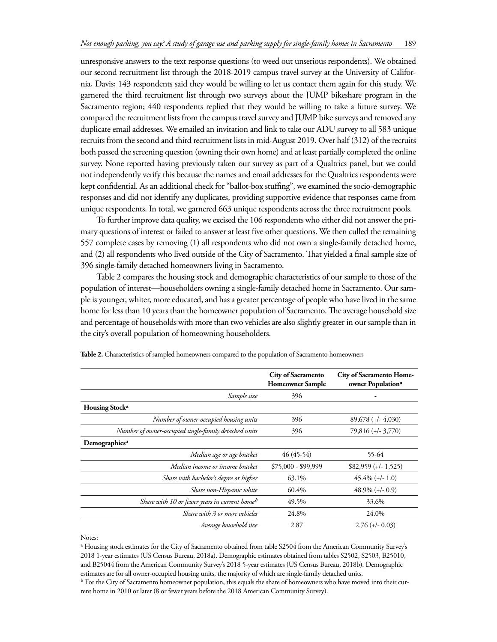unresponsive answers to the text response questions (to weed out unserious respondents). We obtained our second recruitment list through the 2018-2019 campus travel survey at the University of California, Davis; 143 respondents said they would be willing to let us contact them again for this study. We garnered the third recruitment list through two surveys about the JUMP bikeshare program in the Sacramento region; 440 respondents replied that they would be willing to take a future survey. We compared the recruitment lists from the campus travel survey and JUMP bike surveys and removed any duplicate email addresses. We emailed an invitation and link to take our ADU survey to all 583 unique recruits from the second and third recruitment lists in mid-August 2019. Over half (312) of the recruits both passed the screening question (owning their own home) and at least partially completed the online survey. None reported having previously taken our survey as part of a Qualtrics panel, but we could not independently verify this because the names and email addresses for the Qualtrics respondents were kept confidential. As an additional check for "ballot-box stuffing", we examined the socio-demographic responses and did not identify any duplicates, providing supportive evidence that responses came from unique respondents. In total, we garnered 663 unique respondents across the three recruitment pools.

To further improve data quality, we excised the 106 respondents who either did not answer the primary questions of interest or failed to answer at least five other questions. We then culled the remaining 557 complete cases by removing (1) all respondents who did not own a single-family detached home, and (2) all respondents who lived outside of the City of Sacramento. That yielded a final sample size of 396 single-family detached homeowners living in Sacramento.

Table 2 compares the housing stock and demographic characteristics of our sample to those of the population of interest—householders owning a single-family detached home in Sacramento. Our sample is younger, whiter, more educated, and has a greater percentage of people who have lived in the same home for less than 10 years than the homeowner population of Sacramento. The average household size and percentage of households with more than two vehicles are also slightly greater in our sample than in the city's overall population of homeowning householders.

|                                                           | City of Sacramento<br><b>Homeowner Sample</b> | City of Sacramento Home-<br>owner Population <sup>a</sup> |
|-----------------------------------------------------------|-----------------------------------------------|-----------------------------------------------------------|
| Sample size                                               | 396                                           |                                                           |
| Housing Stock <sup>a</sup>                                |                                               |                                                           |
| Number of owner-occupied housing units                    | 396                                           | $89,678 (+/- 4,030)$                                      |
| Number of owner-occupied single-family detached units     | 396                                           | $79,816 (+/- 3,770)$                                      |
| Demographics <sup>a</sup>                                 |                                               |                                                           |
| Median age or age bracket                                 | $46(45-54)$                                   | 55-64                                                     |
| Median income or income bracket                           | \$75,000 - \$99,999                           | $$82,959 (+/- 1,525)$                                     |
| Share with bachelor's degree or higher                    | 63.1%                                         | $45.4\%$ (+/- 1.0)                                        |
| Share non-Hispanic white                                  | 60.4%                                         | $48.9\%$ (+/- 0.9)                                        |
| Share with 10 or fewer years in current home <sup>b</sup> | 49.5%                                         | 33.6%                                                     |
| Share with 3 or more vehicles                             | 24.8%                                         | 24.0%                                                     |
| Average household size                                    | 2.87                                          | $2.76 (+/- 0.03)$                                         |
|                                                           |                                               |                                                           |

**Table 2.** Characteristics of sampled homeowners compared to the population of Sacramento homeowners

Notes:

a Housing stock estimates for the City of Sacramento obtained from table S2504 from the American Community Survey's 2018 1-year estimates (US Census Bureau, 2018a). Demographic estimates obtained from tables S2502, S2503, B25010, and B25044 from the American Community Survey's 2018 5-year estimates (US Census Bureau, 2018b). Demographic estimates are for all owner-occupied housing units, the majority of which are single-family detached units.

b For the City of Sacramento homeowner population, this equals the share of homeowners who have moved into their current home in 2010 or later (8 or fewer years before the 2018 American Community Survey).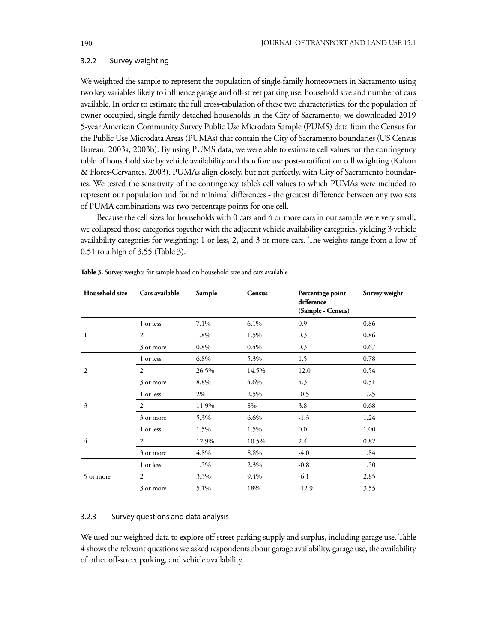#### 3.2.2 Survey weighting

We weighted the sample to represent the population of single-family homeowners in Sacramento using two key variables likely to influence garage and off-street parking use: household size and number of cars available. In order to estimate the full cross-tabulation of these two characteristics, for the population of owner-occupied, single-family detached households in the City of Sacramento, we downloaded 2019 5-year American Community Survey Public Use Microdata Sample (PUMS) data from the Census for the Public Use Microdata Areas (PUMAs) that contain the City of Sacramento boundaries (US Census Bureau, 2003a, 2003b). By using PUMS data, we were able to estimate cell values for the contingency table of household size by vehicle availability and therefore use post-stratification cell weighting (Kalton & Flores-Cervantes, 2003). PUMAs align closely, but not perfectly, with City of Sacramento boundaries. We tested the sensitivity of the contingency table's cell values to which PUMAs were included to represent our population and found minimal differences - the greatest difference between any two sets of PUMA combinations was two percentage points for one cell.

Because the cell sizes for households with 0 cars and 4 or more cars in our sample were very small, we collapsed those categories together with the adjacent vehicle availability categories, yielding 3 vehicle availability categories for weighting: 1 or less, 2, and 3 or more cars. The weights range from a low of 0.51 to a high of 3.55 (Table 3).

| Household size | Cars available              | Sample | Census | Percentage point<br>difference<br>(Sample - Census) | Survey weight |
|----------------|-----------------------------|--------|--------|-----------------------------------------------------|---------------|
|                | 1 or less                   | 7.1%   | 6.1%   | 0.9                                                 | 0.86          |
| 1              | 2                           | 1.8%   | 1.5%   | 0.3                                                 | 0.86          |
|                | 3 or more                   | 0.8%   | 0.4%   | 0.3                                                 | 0.67          |
|                | 1 or less                   | 6.8%   | 5.3%   | 1.5                                                 | 0.78          |
| $\overline{2}$ | $\mathcal{D}_{\mathcal{L}}$ | 26.5%  | 14.5%  | 12.0                                                | 0.54          |
|                | 3 or more                   | 8.8%   | 4.6%   | 4.3                                                 | 0.51          |
|                | 1 or less                   | 2%     | 2.5%   | $-0.5$                                              | 1.25          |
| 3              | 2                           | 11.9%  | 8%     | 3.8                                                 | 0.68          |
|                | 3 or more                   | 5.3%   | 6.6%   | $-1.3$                                              | 1.24          |
|                | 1 or less                   | 1.5%   | 1.5%   | 0.0                                                 | 1.00          |
| 4              | $\mathfrak{D}$              | 12.9%  | 10.5%  | 2.4                                                 | 0.82          |
|                | 3 or more                   | 4.8%   | 8.8%   | $-4.0$                                              | 1.84          |
|                | 1 or less                   | 1.5%   | 2.3%   | $-0.8$                                              | 1.50          |
| 5 or more      | $\overline{c}$              | 3.3%   | 9.4%   | $-6.1$                                              | 2.85          |
|                | 3 or more                   | 5.1%   | 18%    | $-12.9$                                             | 3.55          |

**Table 3.** Survey weights for sample based on household size and cars available

## 3.2.3 Survey questions and data analysis

We used our weighted data to explore off-street parking supply and surplus, including garage use. Table 4 shows the relevant questions we asked respondents about garage availability, garage use, the availability of other off-street parking, and vehicle availability.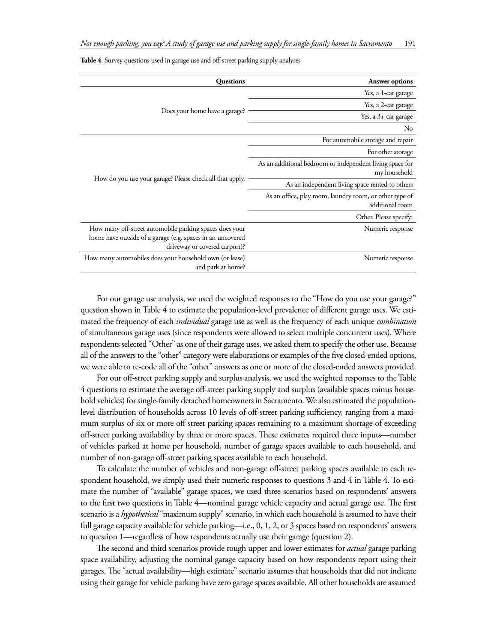**Table 4**. Survey questions used in garage use and off-street parking supply analyses

| <b>Questions</b>                                           | Answer options                                           |
|------------------------------------------------------------|----------------------------------------------------------|
|                                                            | Yes, a 1-car garage                                      |
|                                                            | Yes, a 2-car garage                                      |
| Does your home have a garage?                              | Yes, a 3+-car garage                                     |
|                                                            | No                                                       |
|                                                            | For automobile storage and repair                        |
|                                                            | For other storage                                        |
|                                                            | As an additional bedroom or independent living space for |
| How do you use your garage? Please check all that apply.   | my household                                             |
|                                                            | As an independent living space rented to others          |
|                                                            | As an office, play room, laundry room, or other type of  |
|                                                            | additional room                                          |
|                                                            | Other. Please specify:                                   |
| How many off-street automobile parking spaces does your    | Numeric response                                         |
| home have outside of a garage (e.g. spaces in an uncovered |                                                          |
| driveway or covered carport)?                              |                                                          |
| How many automobiles does your household own (or lease)    | Numeric response                                         |
| and park at home?                                          |                                                          |

For our garage use analysis, we used the weighted responses to the "How do you use your garage?" question shown in Table 4 to estimate the population-level prevalence of different garage uses. We estimated the frequency of each *individual* garage use as well as the frequency of each unique *combination* of simultaneous garage uses (since respondents were allowed to select multiple concurrent uses). Where respondents selected "Other" as one of their garage uses, we asked them to specify the other use. Because all of the answers to the "other" category were elaborations or examples of the five closed-ended options, we were able to re-code all of the "other" answers as one or more of the closed-ended answers provided.

For our off-street parking supply and surplus analysis, we used the weighted responses to the Table 4 questions to estimate the average off-street parking supply and surplus (available spaces minus household vehicles) for single-family detached homeowners in Sacramento. We also estimated the populationlevel distribution of households across 10 levels of off-street parking sufficiency, ranging from a maximum surplus of six or more off-street parking spaces remaining to a maximum shortage of exceeding off-street parking availability by three or more spaces. These estimates required three inputs—number of vehicles parked at home per household, number of garage spaces available to each household, and number of non-garage off-street parking spaces available to each household.

To calculate the number of vehicles and non-garage off-street parking spaces available to each respondent household, we simply used their numeric responses to questions 3 and 4 in Table 4. To estimate the number of "available" garage spaces, we used three scenarios based on respondents' answers to the first two questions in Table 4—nominal garage vehicle capacity and actual garage use. The first scenario is a *hypothetical* "maximum supply" scenario, in which each household is assumed to have their full garage capacity available for vehicle parking—i.e., 0, 1, 2, or 3 spaces based on respondents' answers to question 1—regardless of how respondents actually use their garage (question 2).

The second and third scenarios provide rough upper and lower estimates for *actual* garage parking space availability, adjusting the nominal garage capacity based on how respondents report using their garages. The "actual availability—high estimate" scenario assumes that households that did not indicate using their garage for vehicle parking have zero garage spaces available. All other households are assumed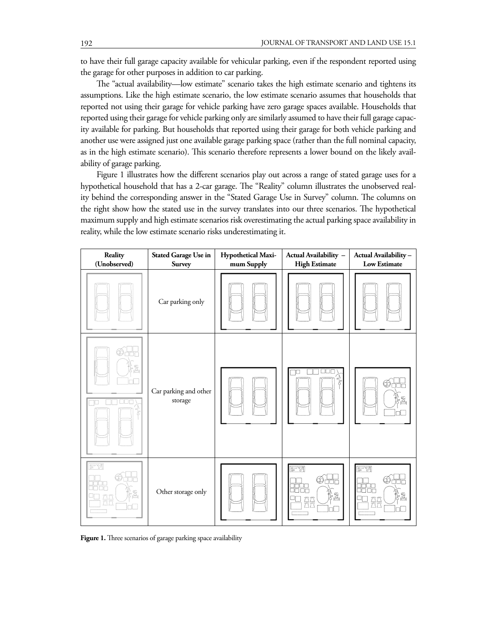to have their full garage capacity available for vehicular parking, even if the respondent reported using the garage for other purposes in addition to car parking.

The "actual availability—low estimate" scenario takes the high estimate scenario and tightens its assumptions. Like the high estimate scenario, the low estimate scenario assumes that households that reported not using their garage for vehicle parking have zero garage spaces available. Households that reported using their garage for vehicle parking only are similarly assumed to have their full garage capacity available for parking. But households that reported using their garage for both vehicle parking and another use were assigned just one available garage parking space (rather than the full nominal capacity, as in the high estimate scenario). This scenario therefore represents a lower bound on the likely availability of garage parking.

Figure 1 illustrates how the different scenarios play out across a range of stated garage uses for a hypothetical household that has a 2-car garage. The "Reality" column illustrates the unobserved reality behind the corresponding answer in the "Stated Garage Use in Survey" column. The columns on the right show how the stated use in the survey translates into our three scenarios. The hypothetical maximum supply and high estimate scenarios risk overestimating the actual parking space availability in reality, while the low estimate scenario risks underestimating it.

| Reality<br>(Unobserved) | <b>Stated Garage Use in</b><br><b>Survey</b> | Hypothetical Maxi-<br>mum Supply | Actual Availability -<br><b>High Estimate</b>                               | Actual Availability-<br><b>Low Estimate</b>                         |
|-------------------------|----------------------------------------------|----------------------------------|-----------------------------------------------------------------------------|---------------------------------------------------------------------|
|                         | Car parking only                             |                                  |                                                                             |                                                                     |
| ET I                    | Car parking and other<br>storage             |                                  | TH<br>r<br>þ                                                                | Ä,                                                                  |
| $\sqrt{2}$<br>ДC<br>ÄÄ  | Other storage only                           |                                  | $\boxed{\mathbb{Z}^2 \boxtimes \mathbb{Z}}$<br>8888<br>).<br>A<br><b>AA</b> | $50 - 21$<br>8888<br>}&<br>$\frac{\overline{a}}{\overline{a}}$<br>w |

Figure 1. Three scenarios of garage parking space availability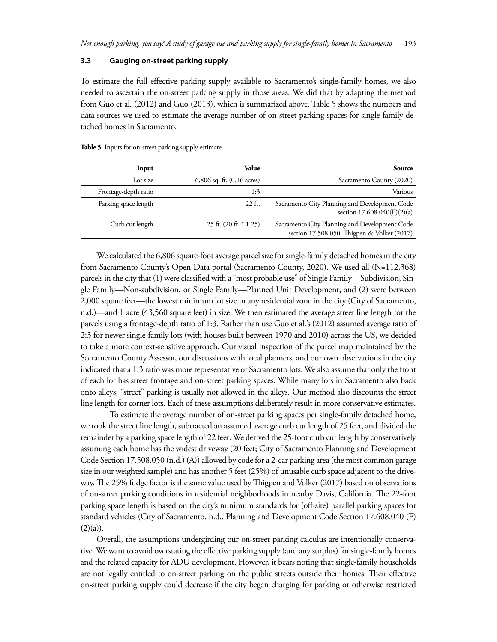#### **3.3 Gauging on-street parking supply**

To estimate the full effective parking supply available to Sacramento's single-family homes, we also needed to ascertain the on-street parking supply in those areas. We did that by adapting the method from Guo et al. (2012) and Guo (2013), which is summarized above. Table 5 shows the numbers and data sources we used to estimate the average number of on-street parking spaces for single-family detached homes in Sacramento.

| Input                | Value                          | Source                                                                                       |
|----------------------|--------------------------------|----------------------------------------------------------------------------------------------|
| Lot size             | $6,806$ sq. ft. $(0.16$ acres) | Sacramento County (2020)                                                                     |
| Frontage-depth ratio | 1:3                            | Various                                                                                      |
| Parking space length | $22$ ft.                       | Sacramento City Planning and Development Code<br>section $17.608.040(F)(2)(a)$               |
| Curb cut length      | $25$ ft. $(20$ ft. $*$ 1.25)   | Sacramento City Planning and Development Code<br>section 17.508.050; Thigpen & Volker (2017) |

**Table 5.** Inputs for on-street parking supply estimate

We calculated the 6,806 square-foot average parcel size for single-family detached homes in the city from Sacramento County's Open Data portal (Sacramento County, 2020). We used all (N=112,368) parcels in the city that (1) were classified with a "most probable use" of Single Family—Subdivision, Single Family—Non-subdivision, or Single Family—Planned Unit Development, and (2) were between 2,000 square feet—the lowest minimum lot size in any residential zone in the city (City of Sacramento, n.d.)—and 1 acre (43,560 square feet) in size. We then estimated the average street line length for the parcels using a frontage-depth ratio of 1:3. Rather than use Guo et al.'s (2012) assumed average ratio of 2:3 for newer single-family lots (with houses built between 1970 and 2010) across the US, we decided to take a more context-sensitive approach. Our visual inspection of the parcel map maintained by the Sacramento County Assessor, our discussions with local planners, and our own observations in the city indicated that a 1:3 ratio was more representative of Sacramento lots. We also assume that only the front of each lot has street frontage and on-street parking spaces. While many lots in Sacramento also back onto alleys, "street" parking is usually not allowed in the alleys. Our method also discounts the street line length for corner lots. Each of these assumptions deliberately result in more conservative estimates.

To estimate the average number of on-street parking spaces per single-family detached home, we took the street line length, subtracted an assumed average curb cut length of 25 feet, and divided the remainder by a parking space length of 22 feet. We derived the 25-foot curb cut length by conservatively assuming each home has the widest driveway (20 feet; City of Sacramento Planning and Development Code Section 17.508.050 (n.d.) (A)) allowed by code for a 2-car parking area (the most common garage size in our weighted sample) and has another 5 feet (25%) of unusable curb space adjacent to the driveway. The 25% fudge factor is the same value used by Thigpen and Volker (2017) based on observations of on-street parking conditions in residential neighborhoods in nearby Davis, California. The 22-foot parking space length is based on the city's minimum standards for (off-site) parallel parking spaces for standard vehicles (City of Sacramento, n.d., Planning and Development Code Section 17.608.040 (F)  $(2)(a)$ ).

Overall, the assumptions undergirding our on-street parking calculus are intentionally conservative. We want to avoid overstating the effective parking supply (and any surplus) for single-family homes and the related capacity for ADU development. However, it bears noting that single-family households are not legally entitled to on-street parking on the public streets outside their homes. Their effective on-street parking supply could decrease if the city began charging for parking or otherwise restricted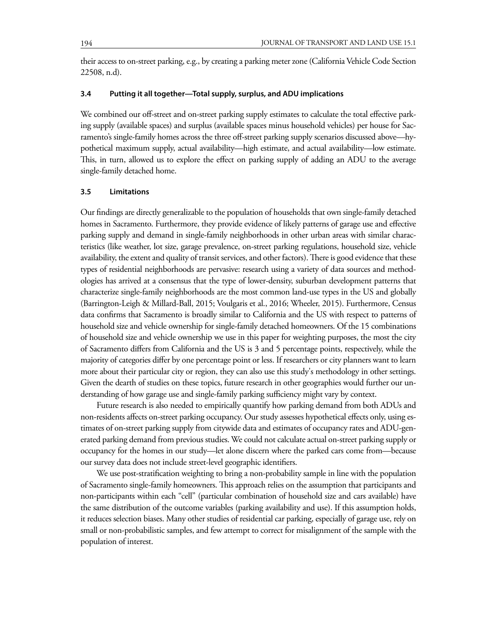their access to on-street parking, e.g., by creating a parking meter zone (California Vehicle Code Section 22508, n.d).

## **3.4 Putting it all together—Total supply, surplus, and ADU implications**

We combined our off-street and on-street parking supply estimates to calculate the total effective parking supply (available spaces) and surplus (available spaces minus household vehicles) per house for Sacramento's single-family homes across the three off-street parking supply scenarios discussed above—hypothetical maximum supply, actual availability—high estimate, and actual availability—low estimate. This, in turn, allowed us to explore the effect on parking supply of adding an ADU to the average single-family detached home.

## **3.5 Limitations**

Our findings are directly generalizable to the population of households that own single-family detached homes in Sacramento. Furthermore, they provide evidence of likely patterns of garage use and effective parking supply and demand in single-family neighborhoods in other urban areas with similar characteristics (like weather, lot size, garage prevalence, on-street parking regulations, household size, vehicle availability, the extent and quality of transit services, and other factors). There is good evidence that these types of residential neighborhoods are pervasive: research using a variety of data sources and methodologies has arrived at a consensus that the type of lower-density, suburban development patterns that characterize single-family neighborhoods are the most common land-use types in the US and globally (Barrington-Leigh & Millard-Ball, 2015; Voulgaris et al., 2016; Wheeler, 2015). Furthermore, Census data confirms that Sacramento is broadly similar to California and the US with respect to patterns of household size and vehicle ownership for single-family detached homeowners. Of the 15 combinations of household size and vehicle ownership we use in this paper for weighting purposes, the most the city of Sacramento differs from California and the US is 3 and 5 percentage points, respectively, while the majority of categories differ by one percentage point or less. If researchers or city planners want to learn more about their particular city or region, they can also use this study's methodology in other settings. Given the dearth of studies on these topics, future research in other geographies would further our understanding of how garage use and single-family parking sufficiency might vary by context.

Future research is also needed to empirically quantify how parking demand from both ADUs and non-residents affects on-street parking occupancy. Our study assesses hypothetical effects only, using estimates of on-street parking supply from citywide data and estimates of occupancy rates and ADU-generated parking demand from previous studies. We could not calculate actual on-street parking supply or occupancy for the homes in our study—let alone discern where the parked cars come from—because our survey data does not include street-level geographic identifiers.

We use post-stratification weighting to bring a non-probability sample in line with the population of Sacramento single-family homeowners. This approach relies on the assumption that participants and non-participants within each "cell" (particular combination of household size and cars available) have the same distribution of the outcome variables (parking availability and use). If this assumption holds, it reduces selection biases. Many other studies of residential car parking, especially of garage use, rely on small or non-probabilistic samples, and few attempt to correct for misalignment of the sample with the population of interest.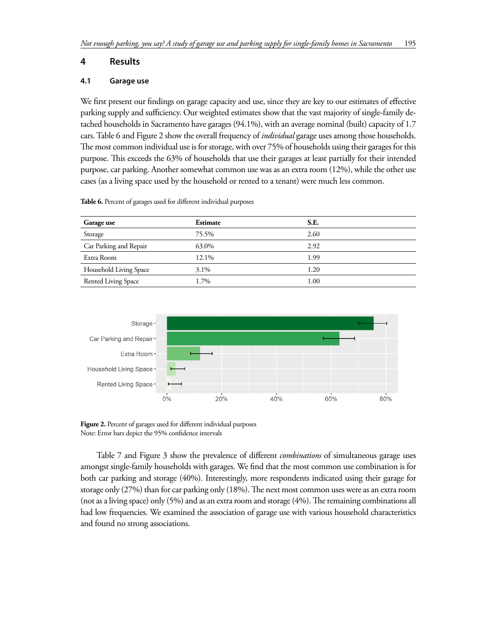## **4 Results**

#### **4.1 Garage use**

We first present our findings on garage capacity and use, since they are key to our estimates of effective parking supply and sufficiency. Our weighted estimates show that the vast majority of single-family detached households in Sacramento have garages (94.1%), with an average nominal (built) capacity of 1.7 cars. Table 6 and Figure 2 show the overall frequency of *individual* garage uses among those households. The most common individual use is for storage, with over 75% of households using their garages for this purpose. This exceeds the 63% of households that use their garages at least partially for their intended purpose, car parking. Another somewhat common use was as an extra room (12%), while the other use cases (as a living space used by the household or rented to a tenant) were much less common.

| Garage use             | Estimate | S.E. |  |
|------------------------|----------|------|--|
| Storage                | 75.5%    | 2.60 |  |
| Car Parking and Repair | 63.0%    | 2.92 |  |
| Extra Room             | 12.1%    | 1.99 |  |
| Household Living Space | 3.1%     | 1.20 |  |
| Rented Living Space    | 1.7%     | 1.00 |  |
|                        |          |      |  |

**Table 6.** Percent of garages used for different individual purposes



Figure 2. Percent of garages used for different individual purposes Note: Error bars depict the 95% confidence intervals

Table 7 and Figure 3 show the prevalence of different *combinations* of simultaneous garage uses amongst single-family households with garages. We find that the most common use combination is for both car parking and storage (40%). Interestingly, more respondents indicated using their garage for storage only (27%) than for car parking only (18%). The next most common uses were as an extra room (not as a living space) only (5%) and as an extra room and storage (4%). The remaining combinations all had low frequencies. We examined the association of garage use with various household characteristics and found no strong associations.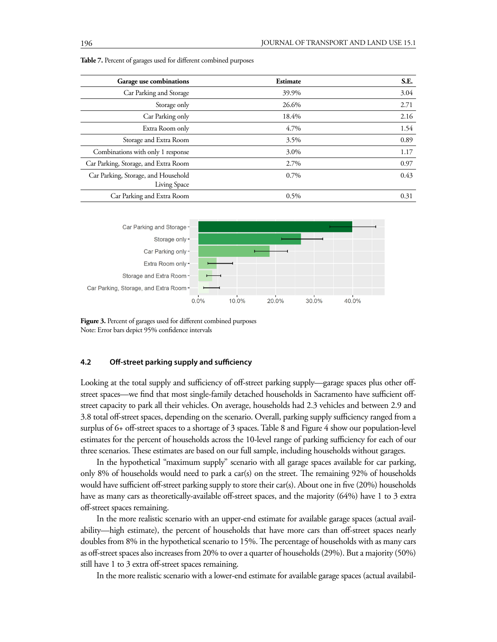| Garage use combinations                             | Estimate | S.E. |
|-----------------------------------------------------|----------|------|
| Car Parking and Storage                             | 39.9%    | 3.04 |
| Storage only                                        | 26.6%    | 2.71 |
| Car Parking only                                    | 18.4%    | 2.16 |
| Extra Room only                                     | 4.7%     | 1.54 |
| Storage and Extra Room                              | 3.5%     | 0.89 |
| Combinations with only 1 response                   | 3.0%     | 1.17 |
| Car Parking, Storage, and Extra Room                | 2.7%     | 0.97 |
| Car Parking, Storage, and Household<br>Living Space | $0.7\%$  | 0.43 |
| Car Parking and Extra Room                          | 0.5%     | 0.31 |





Figure 3. Percent of garages used for different combined purposes Note: Error bars depict 95% confidence intervals

### **4.2 Off-street parking supply and sufficiency**

Looking at the total supply and sufficiency of off-street parking supply—garage spaces plus other offstreet spaces—we find that most single-family detached households in Sacramento have sufficient offstreet capacity to park all their vehicles. On average, households had 2.3 vehicles and between 2.9 and 3.8 total off-street spaces, depending on the scenario. Overall, parking supply sufficiency ranged from a surplus of 6+ off-street spaces to a shortage of 3 spaces. Table 8 and Figure 4 show our population-level estimates for the percent of households across the 10-level range of parking sufficiency for each of our three scenarios. These estimates are based on our full sample, including households without garages.

In the hypothetical "maximum supply" scenario with all garage spaces available for car parking, only 8% of households would need to park a car(s) on the street. The remaining 92% of households would have sufficient off-street parking supply to store their car(s). About one in five (20%) households have as many cars as theoretically-available off-street spaces, and the majority (64%) have 1 to 3 extra off-street spaces remaining.

In the more realistic scenario with an upper-end estimate for available garage spaces (actual availability—high estimate), the percent of households that have more cars than off-street spaces nearly doubles from 8% in the hypothetical scenario to 15%. The percentage of households with as many cars as off-street spaces also increases from 20% to over a quarter of households (29%). But a majority (50%) still have 1 to 3 extra off-street spaces remaining.

In the more realistic scenario with a lower-end estimate for available garage spaces (actual availabil-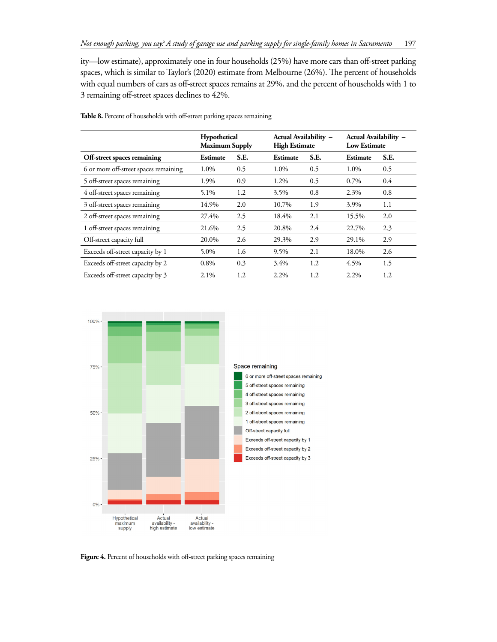ity—low estimate), approximately one in four households (25%) have more cars than off-street parking spaces, which is similar to Taylor's (2020) estimate from Melbourne (26%). The percent of households with equal numbers of cars as off-street spaces remains at 29%, and the percent of households with 1 to 3 remaining off-street spaces declines to 42%.

|                                       | Hypothetical<br><b>Maximum Supply</b> |      | Actual Availability -<br><b>High Estimate</b> |      | Actual Availability -<br><b>Low Estimate</b> |      |
|---------------------------------------|---------------------------------------|------|-----------------------------------------------|------|----------------------------------------------|------|
| Off-street spaces remaining           | Estimate                              | S.E. | Estimate                                      | S.E. | Estimate                                     | S.E. |
| 6 or more off-street spaces remaining | 1.0%                                  | 0.5  | 1.0%                                          | 0.5  | 1.0%                                         | 0.5  |
| 5 off-street spaces remaining         | 1.9%                                  | 0.9  | 1.2%                                          | 0.5  | 0.7%                                         | 0.4  |
| 4 off-street spaces remaining         | 5.1%                                  | 1.2  | 3.5%                                          | 0.8  | 2.3%                                         | 0.8  |
| 3 off-street spaces remaining         | 14.9%                                 | 2.0  | 10.7%                                         | 1.9  | 3.9%                                         | 1.1  |
| 2 off-street spaces remaining         | 27.4%                                 | 2.5  | 18.4%                                         | 2.1  | 15.5%                                        | 2.0  |
| 1 off-street spaces remaining         | 21.6%                                 | 2.5  | 20.8%                                         | 2.4  | 22.7%                                        | 2.3  |
| Off-street capacity full              | 20.0%                                 | 2.6  | 29.3%                                         | 2.9  | 29.1%                                        | 2.9  |
| Exceeds off-street capacity by 1      | 5.0%                                  | 1.6  | $9.5\%$                                       | 2.1  | 18.0%                                        | 2.6  |
| Exceeds off-street capacity by 2      | 0.8%                                  | 0.3  | $3.4\%$                                       | 1.2  | 4.5%                                         | 1.5  |
| Exceeds off-street capacity by 3      | 2.1%                                  | 1.2  | 2.2%                                          | 1.2  | 2.2%                                         | 1.2  |

**Table 8.** Percent of households with off-street parking spaces remaining



Figure 4. Percent of households with off-street parking spaces remaining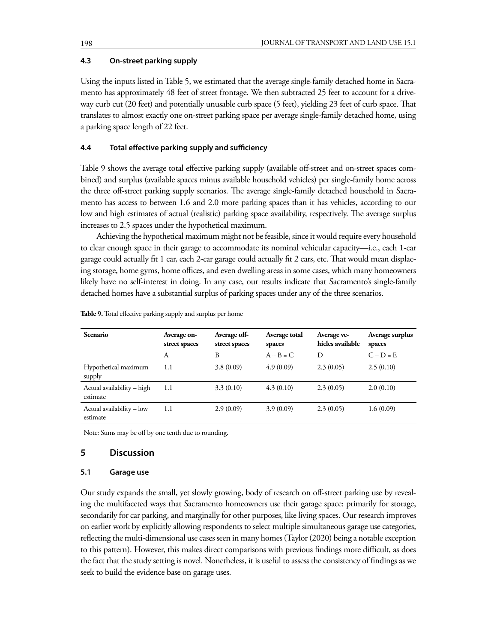# **4.3 On-street parking supply**

Using the inputs listed in Table 5, we estimated that the average single-family detached home in Sacramento has approximately 48 feet of street frontage. We then subtracted 25 feet to account for a driveway curb cut (20 feet) and potentially unusable curb space (5 feet), yielding 23 feet of curb space. That translates to almost exactly one on-street parking space per average single-family detached home, using a parking space length of 22 feet.

# **4.4 Total effective parking supply and sufficiency**

Table 9 shows the average total effective parking supply (available off-street and on-street spaces combined) and surplus (available spaces minus available household vehicles) per single-family home across the three off-street parking supply scenarios. The average single-family detached household in Sacramento has access to between 1.6 and 2.0 more parking spaces than it has vehicles, according to our low and high estimates of actual (realistic) parking space availability, respectively. The average surplus increases to 2.5 spaces under the hypothetical maximum.

Achieving the hypothetical maximum might not be feasible, since it would require every household to clear enough space in their garage to accommodate its nominal vehicular capacity—i.e., each 1-car garage could actually fit 1 car, each 2-car garage could actually fit 2 cars, etc. That would mean displacing storage, home gyms, home offices, and even dwelling areas in some cases, which many homeowners likely have no self-interest in doing. In any case, our results indicate that Sacramento's single-family detached homes have a substantial surplus of parking spaces under any of the three scenarios.

| Scenario                               | Average on-<br>street spaces | Average off-<br>street spaces | Average total<br>spaces | Average ve-<br>hicles available | Average surplus<br>spaces |
|----------------------------------------|------------------------------|-------------------------------|-------------------------|---------------------------------|---------------------------|
|                                        | А                            | B                             | $A + B = C$             | D                               | $C - D = E$               |
| Hypothetical maximum<br>supply         | 1.1                          | 3.8(0.09)                     | 4.9(0.09)               | 2.3(0.05)                       | 2.5(0.10)                 |
| Actual availability – high<br>estimate | 1.1                          | 3.3(0.10)                     | 4.3(0.10)               | 2.3(0.05)                       | 2.0(0.10)                 |
| Actual availability - low<br>estimate  | 1.1                          | 2.9(0.09)                     | 3.9(0.09)               | 2.3(0.05)                       | 1.6(0.09)                 |

**Table 9.** Total effective parking supply and surplus per home

Note: Sums may be off by one tenth due to rounding.

# **5 Discussion**

#### **5.1 Garage use**

Our study expands the small, yet slowly growing, body of research on off-street parking use by revealing the multifaceted ways that Sacramento homeowners use their garage space: primarily for storage, secondarily for car parking, and marginally for other purposes, like living spaces. Our research improves on earlier work by explicitly allowing respondents to select multiple simultaneous garage use categories, reflecting the multi-dimensional use cases seen in many homes (Taylor (2020) being a notable exception to this pattern). However, this makes direct comparisons with previous findings more difficult, as does the fact that the study setting is novel. Nonetheless, it is useful to assess the consistency of findings as we seek to build the evidence base on garage uses.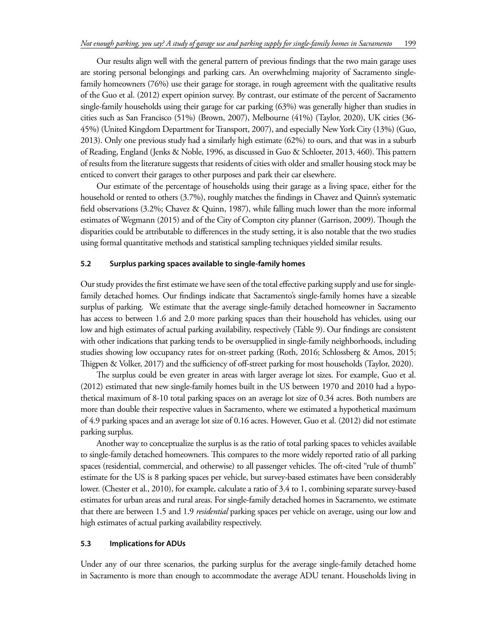Our results align well with the general pattern of previous findings that the two main garage uses are storing personal belongings and parking cars. An overwhelming majority of Sacramento singlefamily homeowners (76%) use their garage for storage, in rough agreement with the qualitative results of the Guo et al. (2012) expert opinion survey. By contrast, our estimate of the percent of Sacramento single-family households using their garage for car parking (63%) was generally higher than studies in cities such as San Francisco (51%) (Brown, 2007), Melbourne (41%) (Taylor, 2020), UK cities (36- 45%) (United Kingdom Department for Transport, 2007), and especially New York City (13%) (Guo, 2013). Only one previous study had a similarly high estimate (62%) to ours, and that was in a suburb of Reading, England (Jenks & Noble, 1996, as discussed in Guo & Schloeter, 2013, 460). This pattern of results from the literature suggests that residents of cities with older and smaller housing stock may be enticed to convert their garages to other purposes and park their car elsewhere.

Our estimate of the percentage of households using their garage as a living space, either for the household or rented to others (3.7%), roughly matches the findings in Chavez and Quinn's systematic field observations (3.2%; Chavez & Quinn, 1987), while falling much lower than the more informal estimates of Wegmann (2015) and of the City of Compton city planner (Garrison, 2009). Though the disparities could be attributable to differences in the study setting, it is also notable that the two studies using formal quantitative methods and statistical sampling techniques yielded similar results.

## **5.2 Surplus parking spaces available to single-family homes**

Our study provides the first estimate we have seen of the total effective parking supply and use for singlefamily detached homes. Our findings indicate that Sacramento's single-family homes have a sizeable surplus of parking. We estimate that the average single-family detached homeowner in Sacramento has access to between 1.6 and 2.0 more parking spaces than their household has vehicles, using our low and high estimates of actual parking availability, respectively (Table 9). Our findings are consistent with other indications that parking tends to be oversupplied in single-family neighborhoods, including studies showing low occupancy rates for on-street parking (Roth, 2016; Schlossberg & Amos, 2015; Thigpen & Volker, 2017) and the sufficiency of off-street parking for most households (Taylor, 2020).

The surplus could be even greater in areas with larger average lot sizes. For example, Guo et al. (2012) estimated that new single-family homes built in the US between 1970 and 2010 had a hypothetical maximum of 8-10 total parking spaces on an average lot size of 0.34 acres. Both numbers are more than double their respective values in Sacramento, where we estimated a hypothetical maximum of 4.9 parking spaces and an average lot size of 0.16 acres. However, Guo et al. (2012) did not estimate parking surplus.

Another way to conceptualize the surplus is as the ratio of total parking spaces to vehicles available to single-family detached homeowners. This compares to the more widely reported ratio of all parking spaces (residential, commercial, and otherwise) to all passenger vehicles. The oft-cited "rule of thumb" estimate for the US is 8 parking spaces per vehicle, but survey-based estimates have been considerably lower. (Chester et al., 2010), for example, calculate a ratio of 3.4 to 1, combining separate survey-based estimates for urban areas and rural areas. For single-family detached homes in Sacramento, we estimate that there are between 1.5 and 1.9 *residential* parking spaces per vehicle on average, using our low and high estimates of actual parking availability respectively.

## **5.3 Implications for ADUs**

Under any of our three scenarios, the parking surplus for the average single-family detached home in Sacramento is more than enough to accommodate the average ADU tenant. Households living in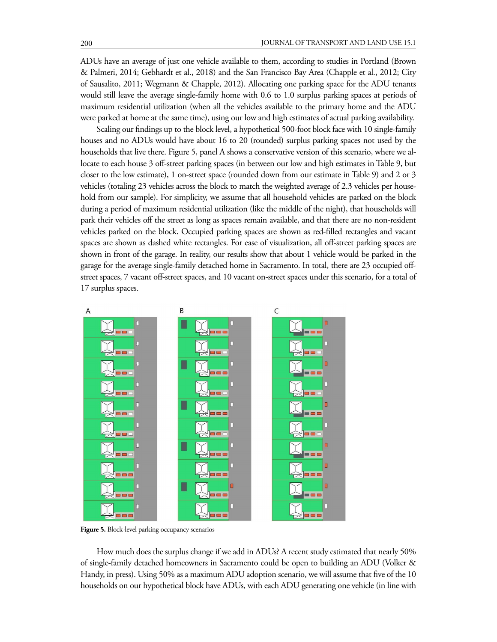ADUs have an average of just one vehicle available to them, according to studies in Portland (Brown & Palmeri, 2014; Gebhardt et al., 2018) and the San Francisco Bay Area (Chapple et al., 2012; City of Sausalito, 2011; Wegmann & Chapple, 2012). Allocating one parking space for the ADU tenants would still leave the average single-family home with 0.6 to 1.0 surplus parking spaces at periods of maximum residential utilization (when all the vehicles available to the primary home and the ADU were parked at home at the same time), using our low and high estimates of actual parking availability.

Scaling our findings up to the block level, a hypothetical 500-foot block face with 10 single-family houses and no ADUs would have about 16 to 20 (rounded) surplus parking spaces not used by the households that live there. Figure 5, panel A shows a conservative version of this scenario, where we allocate to each house 3 off-street parking spaces (in between our low and high estimates in Table 9, but closer to the low estimate), 1 on-street space (rounded down from our estimate in Table 9) and 2 or 3 vehicles (totaling 23 vehicles across the block to match the weighted average of 2.3 vehicles per household from our sample). For simplicity, we assume that all household vehicles are parked on the block during a period of maximum residential utilization (like the middle of the night), that households will park their vehicles off the street as long as spaces remain available, and that there are no non-resident vehicles parked on the block. Occupied parking spaces are shown as red-filled rectangles and vacant spaces are shown as dashed white rectangles. For ease of visualization, all off-street parking spaces are shown in front of the garage. In reality, our results show that about 1 vehicle would be parked in the garage for the average single-family detached home in Sacramento. In total, there are 23 occupied offstreet spaces, 7 vacant off-street spaces, and 10 vacant on-street spaces under this scenario, for a total of 17 surplus spaces.



**Figure 5.** Block-level parking occupancy scenarios

How much does the surplus change if we add in ADUs? A recent study estimated that nearly 50% of single-family detached homeowners in Sacramento could be open to building an ADU (Volker & Handy, in press). Using 50% as a maximum ADU adoption scenario, we will assume that five of the 10 households on our hypothetical block have ADUs, with each ADU generating one vehicle (in line with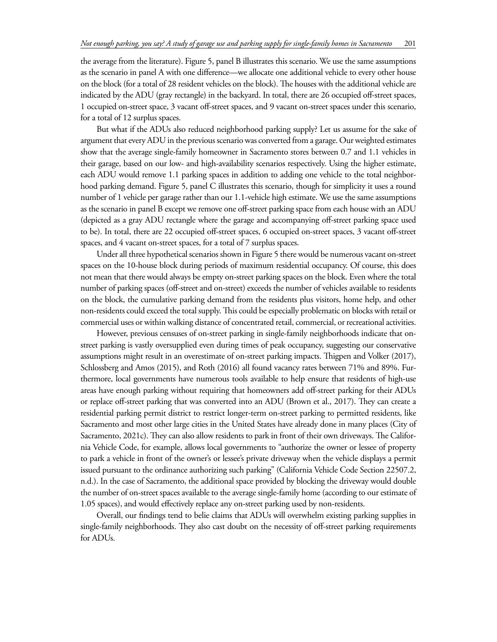the average from the literature). Figure 5, panel B illustrates this scenario. We use the same assumptions as the scenario in panel A with one difference—we allocate one additional vehicle to every other house on the block (for a total of 28 resident vehicles on the block). The houses with the additional vehicle are indicated by the ADU (gray rectangle) in the backyard. In total, there are 26 occupied off-street spaces, 1 occupied on-street space, 3 vacant off-street spaces, and 9 vacant on-street spaces under this scenario, for a total of 12 surplus spaces.

But what if the ADUs also reduced neighborhood parking supply? Let us assume for the sake of argument that every ADU in the previous scenario was converted from a garage. Our weighted estimates show that the average single-family homeowner in Sacramento stores between 0.7 and 1.1 vehicles in their garage, based on our low- and high-availability scenarios respectively. Using the higher estimate, each ADU would remove 1.1 parking spaces in addition to adding one vehicle to the total neighborhood parking demand. Figure 5, panel C illustrates this scenario, though for simplicity it uses a round number of 1 vehicle per garage rather than our 1.1-vehicle high estimate. We use the same assumptions as the scenario in panel B except we remove one off-street parking space from each house with an ADU (depicted as a gray ADU rectangle where the garage and accompanying off-street parking space used to be). In total, there are 22 occupied off-street spaces, 6 occupied on-street spaces, 3 vacant off-street spaces, and 4 vacant on-street spaces, for a total of 7 surplus spaces.

Under all three hypothetical scenarios shown in Figure 5 there would be numerous vacant on-street spaces on the 10-house block during periods of maximum residential occupancy. Of course, this does not mean that there would always be empty on-street parking spaces on the block. Even where the total number of parking spaces (off-street and on-street) exceeds the number of vehicles available to residents on the block, the cumulative parking demand from the residents plus visitors, home help, and other non-residents could exceed the total supply. This could be especially problematic on blocks with retail or commercial uses or within walking distance of concentrated retail, commercial, or recreational activities.

However, previous censuses of on-street parking in single-family neighborhoods indicate that onstreet parking is vastly oversupplied even during times of peak occupancy, suggesting our conservative assumptions might result in an overestimate of on-street parking impacts. Thigpen and Volker (2017), Schlossberg and Amos (2015), and Roth (2016) all found vacancy rates between 71% and 89%. Furthermore, local governments have numerous tools available to help ensure that residents of high-use areas have enough parking without requiring that homeowners add off-street parking for their ADUs or replace off-street parking that was converted into an ADU (Brown et al., 2017). They can create a residential parking permit district to restrict longer-term on-street parking to permitted residents, like Sacramento and most other large cities in the United States have already done in many places (City of Sacramento, 2021c). They can also allow residents to park in front of their own driveways. The California Vehicle Code, for example, allows local governments to "authorize the owner or lessee of property to park a vehicle in front of the owner's or lessee's private driveway when the vehicle displays a permit issued pursuant to the ordinance authorizing such parking" (California Vehicle Code Section 22507.2, n.d.). In the case of Sacramento, the additional space provided by blocking the driveway would double the number of on-street spaces available to the average single-family home (according to our estimate of 1.05 spaces), and would effectively replace any on-street parking used by non-residents.

Overall, our findings tend to belie claims that ADUs will overwhelm existing parking supplies in single-family neighborhoods. They also cast doubt on the necessity of off-street parking requirements for ADUs.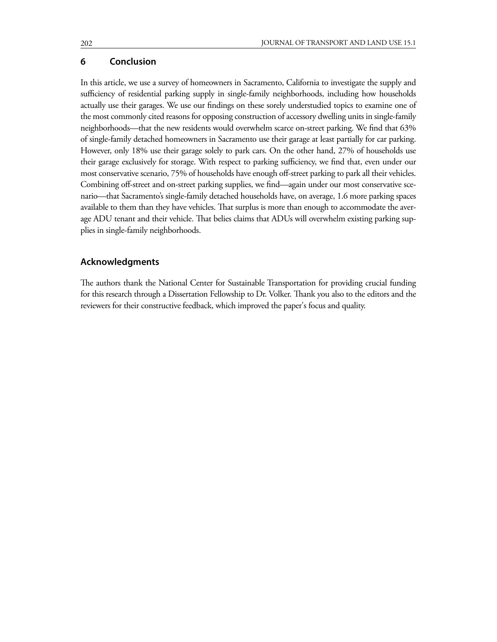# **6 Conclusion**

In this article, we use a survey of homeowners in Sacramento, California to investigate the supply and sufficiency of residential parking supply in single-family neighborhoods, including how households actually use their garages. We use our findings on these sorely understudied topics to examine one of the most commonly cited reasons for opposing construction of accessory dwelling units in single-family neighborhoods—that the new residents would overwhelm scarce on-street parking. We find that 63% of single-family detached homeowners in Sacramento use their garage at least partially for car parking. However, only 18% use their garage solely to park cars. On the other hand, 27% of households use their garage exclusively for storage. With respect to parking sufficiency, we find that, even under our most conservative scenario, 75% of households have enough off-street parking to park all their vehicles. Combining off-street and on-street parking supplies, we find—again under our most conservative scenario—that Sacramento's single-family detached households have, on average, 1.6 more parking spaces available to them than they have vehicles. That surplus is more than enough to accommodate the average ADU tenant and their vehicle. That belies claims that ADUs will overwhelm existing parking supplies in single-family neighborhoods.

## **Acknowledgments**

The authors thank the National Center for Sustainable Transportation for providing crucial funding for this research through a Dissertation Fellowship to Dr. Volker. Thank you also to the editors and the reviewers for their constructive feedback, which improved the paper's focus and quality.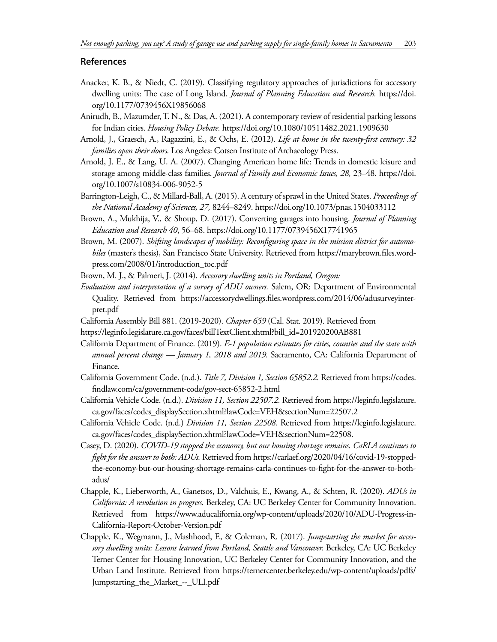## **References**

- Anacker, K. B., & Niedt, C. (2019). Classifying regulatory approaches of jurisdictions for accessory dwelling units: The case of Long Island. *Journal of Planning Education and Research.* https://doi. org/10.1177/0739456X19856068
- Anirudh, B., Mazumder, T. N., & Das, A. (2021). A contemporary review of residential parking lessons for Indian cities. *Housing Policy Debate.* https://doi.org/10.1080/10511482.2021.1909630
- Arnold, J., Graesch, A., Ragazzini, E., & Ochs, E. (2012). *Life at home in the twenty-first century: 32 families open their doors.* Los Angeles: Cotsen Institute of Archaeology Press.
- Arnold, J. E., & Lang, U. A. (2007). Changing American home life: Trends in domestic leisure and storage among middle-class families. *Journal of Family and Economic Issues, 28,* 23–48. https://doi. org/10.1007/s10834-006-9052-5
- Barrington-Leigh, C., & Millard-Ball, A. (2015). A century of sprawl in the United States. *Proceedings of the National Academy of Sciences, 27,* 8244–8249. https://doi.org/10.1073/pnas.1504033112
- Brown, A., Mukhija, V., & Shoup, D. (2017). Converting garages into housing. *Journal of Planning Education and Research 40*, 56–68. https://doi.org/10.1177/0739456X17741965
- Brown, M. (2007). *Shifting landscapes of mobility: Reconfiguring space in the mission district for automobiles* (master's thesis), San Francisco State University. Retrieved from https://marybrown.files.wordpress.com/2008/01/introduction\_toc.pdf

Brown, M. J., & Palmeri, J. (2014). *Accessory dwelling units in Portland, Oregon:* 

- *Evaluation and interpretation of a survey of ADU owners.* Salem, OR: Department of Environmental Quality. Retrieved from https://accessorydwellings.files.wordpress.com/2014/06/adusurveyinterpret.pdf
- California Assembly Bill 881. (2019-2020). *Chapter 659* (Cal. Stat. 2019). Retrieved from
- https://leginfo.legislature.ca.gov/faces/billTextClient.xhtml?bill\_id=201920200AB881
- California Department of Finance. (2019). *E-1 population estimates for cities, counties and the state with annual percent change — January 1, 2018 and 2019.* Sacramento, CA: California Department of Finance.
- California Government Code. (n.d.). *Title 7, Division 1, Section 65852.2.* Retrieved from https://codes. findlaw.com/ca/government-code/gov-sect-65852-2.html
- California Vehicle Code. (n.d.). *Division 11, Section 22507.2.* Retrieved from https://leginfo.legislature. ca.gov/faces/codes\_displaySection.xhtml?lawCode=VEH&sectionNum=22507.2
- California Vehicle Code. (n.d.) *Division 11, Section 22508.* Retrieved from https://leginfo.legislature. ca.gov/faces/codes\_displaySection.xhtml?lawCode=VEH&sectionNum=22508.
- Casey, D. (2020). *COVID-19 stopped the economy, but our housing shortage remains. CaRLA continues to fight for the answer to both: ADUs.* Retrieved from https://carlaef.org/2020/04/16/covid-19-stoppedthe-economy-but-our-housing-shortage-remains-carla-continues-to-fight-for-the-answer-to-bothadus/
- Chapple, K., Lieberworth, A., Ganetsos, D., Valchuis, E., Kwang, A., & Schten, R. (2020). *ADUs in California: A revolution in progress.* Berkeley, CA: UC Berkeley Center for Community Innovation. Retrieved from https://www.aducalifornia.org/wp-content/uploads/2020/10/ADU-Progress-in-California-Report-October-Version.pdf
- Chapple, K., Wegmann, J., Mashhood, F., & Coleman, R. (2017). *Jumpstarting the market for accessory dwelling units: Lessons learned from Portland, Seattle and Vancouver.* Berkeley, CA: UC Berkeley Terner Center for Housing Innovation, UC Berkeley Center for Community Innovation, and the Urban Land Institute. Retrieved from https://ternercenter.berkeley.edu/wp-content/uploads/pdfs/ Jumpstarting\_the\_Market\_--\_ULI.pdf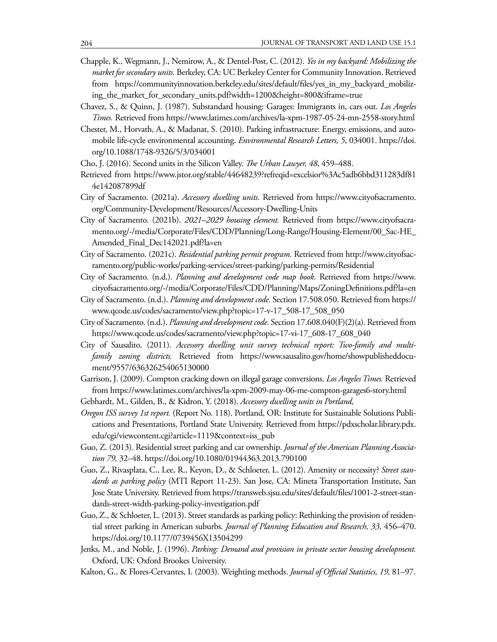- Chapple, K., Wegmann, J., Nemirow, A., & Dentel-Post, C. (2012). *Yes in my backyard: Mobilizing the market for secondary units.* Berkeley, CA: UC Berkeley Center for Community Innovation. Retrieved from https://communityinnovation.berkeley.edu/sites/default/files/yes\_in\_my\_backyard\_mobilizing\_the\_market\_for\_secondary\_units.pdf?width=1200&height=800&iframe=true
- Chavez, S., & Quinn, J. (1987). Substandard housing: Garages: Immigrants in, cars out. *Los Angeles Times.* Retrieved from https://www.latimes.com/archives/la-xpm-1987-05-24-mn-2558-story.html
- Chester, M., Horvath, A., & Madanat, S. (2010). Parking infrastructure: Energy, emissions, and automobile life-cycle environmental accounting. *Environmental Research Letters, 5*, 034001. https://doi. org/10.1088/1748-9326/5/3/034001
- Cho, J. (2016). Second units in the Silicon Valley. *The Urban Lawyer, 48*, 459–488.
- Retrieved from https://www.jstor.org/stable/44648239?refreqid=excelsior%3Ac5adb6bbd311283df81 4e142087899df
- City of Sacramento. (2021a). *Accessory dwelling units.* Retrieved from https://www.cityofsacramento. org/Community-Development/Resources/Accessory-Dwelling-Units
- City of Sacramento. (2021b). *2021–2029 housing element.* Retrieved from https://www.cityofsacramento.org/-/media/Corporate/Files/CDD/Planning/Long-Range/Housing-Element/00\_Sac-HE\_ Amended\_Final\_Dec142021.pdf?la=en
- City of Sacramento. (2021c). *Residential parking permit program.* Retrieved from http://www.cityofsacramento.org/public-works/parking-services/street-parking/parking-permits/Residential
- City of Sacramento. (n.d.). *Planning and development code map book.* Retrieved from https://www. cityofsacramento.org/-/media/Corporate/Files/CDD/Planning/Maps/ZoningDefinitions.pdf?la=en
- City of Sacramento. (n.d.). *Planning and development code.* Section 17.508.050. Retrieved from https:// www.qcode.us/codes/sacramento/view.php?topic=17-v-17\_508-17\_508\_050
- City of Sacramento. (n.d.). *Planning and development code.* Section 17.608.040(F)(2)(a). Retrieved from https://www.qcode.us/codes/sacramento/view.php?topic=17-vi-17\_608-17\_608\_040
- City of Sausalito. (2011). *Accessory dwelling unit survey technical report: Two-family and multifamily zoning districts.* Retrieved from https://www.sausalito.gov/home/showpublisheddocument/9557/636326254065130000
- Garrison, J. (2009). Compton cracking down on illegal garage conversions. *Los Angeles Times.* Retrieved from https://www.latimes.com/archives/la-xpm-2009-may-06-me-compton-garages6-story.html
- Gebhardt, M., Gilden, B., & Kidron, Y. (2018). *Accessory dwelling units in Portland,*
- *Oregon ISS survey 1st report.* (Report No. 118). Portland, OR: Institute for Sustainable Solutions Publications and Presentations, Portland State University. Retrieved from https://pdxscholar.library.pdx. edu/cgi/viewcontent.cgi?article=1119&context=iss\_pub
- Guo, Z. (2013). Residential street parking and car ownership. *Journal of the American Planning Association 79,* 32–48. https://doi.org/10.1080/01944363.2013.790100
- Guo, Z., Rivasplata, C., Lee, R., Keyon, D., & Schloeter, L. (2012). Amenity or necessity? *Street standards as parking policy* (MTI Report 11-23). San Jose, CA: Mineta Transportation Institute, San Jose State University. Retrieved from https://transweb.sjsu.edu/sites/default/files/1001-2-street-standards-street-width-parking-policy-investigation.pdf
- Guo, Z., & Schloeter, L. (2013). Street standards as parking policy: Rethinking the provision of residential street parking in American suburbs. *Journal of Planning Education and Research, 33*, 456–470. https://doi.org/10.1177/0739456X13504299
- Jenks, M., and Noble, J. (1996). *Parking: Demand and provision in private sector housing development.* Oxford, UK: Oxford Brookes University.
- Kalton, G., & Flores-Cervantes, I. (2003). Weighting methods. *Journal of Official Statistics, 19,* 81–97.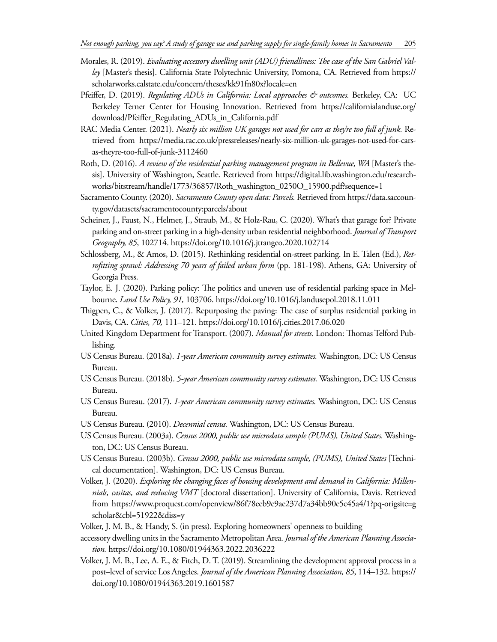- Morales, R. (2019). *Evaluating accessory dwelling unit (ADU) friendliness: The case of the San Gabriel Valley* [Master's thesis]. California State Polytechnic University, Pomona, CA. Retrieved from https:// scholarworks.calstate.edu/concern/theses/kk91fn80x?locale=en
- Pfeiffer, D. (2019). *Regulating ADUs in California: Local approaches & outcomes*. Berkeley, CA: UC Berkeley Terner Center for Housing Innovation. Retrieved from https://californialanduse.org/ download/Pfeiffer\_Regulating\_ADUs\_in\_California.pdf
- RAC Media Center. (2021). *Nearly six million UK garages not used for cars as they're too full of junk.* Retrieved from https://media.rac.co.uk/pressreleases/nearly-six-million-uk-garages-not-used-for-carsas-theyre-too-full-of-junk-3112460
- Roth, D. (2016). *A review of the residential parking management program in Bellevue, WA* [Master's thesis]. University of Washington, Seattle. Retrieved from https://digital.lib.washington.edu/researchworks/bitstream/handle/1773/36857/Roth\_washington\_0250O\_15900.pdf?sequence=1
- Sacramento County. (2020). *Sacramento County open data: Parcels.* Retrieved from https://data.saccounty.gov/datasets/sacramentocounty:parcels/about
- Scheiner, J., Faust, N., Helmer, J., Straub, M., & Holz-Rau, C. (2020). What's that garage for? Private parking and on-street parking in a high-density urban residential neighborhood. *Journal of Transport Geography, 85*, 102714. https://doi.org/10.1016/j.jtrangeo.2020.102714
- Schlossberg, M., & Amos, D. (2015). Rethinking residential on-street parking. In E. Talen (Ed.), *Retrofitting sprawl: Addressing 70 years of failed urban form* (pp. 181-198). Athens, GA: University of Georgia Press.
- Taylor, E. J. (2020). Parking policy: The politics and uneven use of residential parking space in Melbourne. *Land Use Policy, 91,* 103706. https://doi.org/10.1016/j.landusepol.2018.11.011
- Thigpen, C., & Volker, J. (2017). Repurposing the paving: The case of surplus residential parking in Davis, CA. *Cities, 70,* 111–121. https://doi.org/10.1016/j.cities.2017.06.020
- United Kingdom Department for Transport. (2007). *Manual for streets.* London: Thomas Telford Publishing.
- US Census Bureau. (2018a). *1-year American community survey estimates.* Washington, DC: US Census Bureau.
- US Census Bureau. (2018b). *5-year American community survey estimates.* Washington, DC: US Census Bureau.
- US Census Bureau. (2017). *1-year American community survey estimates.* Washington, DC: US Census Bureau.
- US Census Bureau. (2010). *Decennial census.* Washington, DC: US Census Bureau.
- US Census Bureau. (2003a). *Census 2000, public use microdata sample (PUMS), United States.* Washington, DC: US Census Bureau.
- US Census Bureau. (2003b). *Census 2000, public use microdata sample, (PUMS), United States* [Technical documentation]. Washington, DC: US Census Bureau.
- Volker, J. (2020). *Exploring the changing faces of housing development and demand in California: Millennials, casitas, and reducing VMT* [doctoral dissertation]. University of California, Davis. Retrieved from https://www.proquest.com/openview/86f78eeb9e9ae237d7a34bb90e5c45a4/1?pq-origsite=g scholar&cbl=51922&diss=y
- Volker, J. M. B., & Handy, S. (in press). Exploring homeowners' openness to building
- accessory dwelling units in the Sacramento Metropolitan Area. *Journal of the American Planning Association.* https://doi.org/10.1080/01944363.2022.2036222
- Volker, J. M. B., Lee, A. E., & Fitch, D. T. (2019). Streamlining the development approval process in a post–level of service Los Angeles. *Journal of the American Planning Association, 85*, 114–132. https:// doi.org/10.1080/01944363.2019.1601587